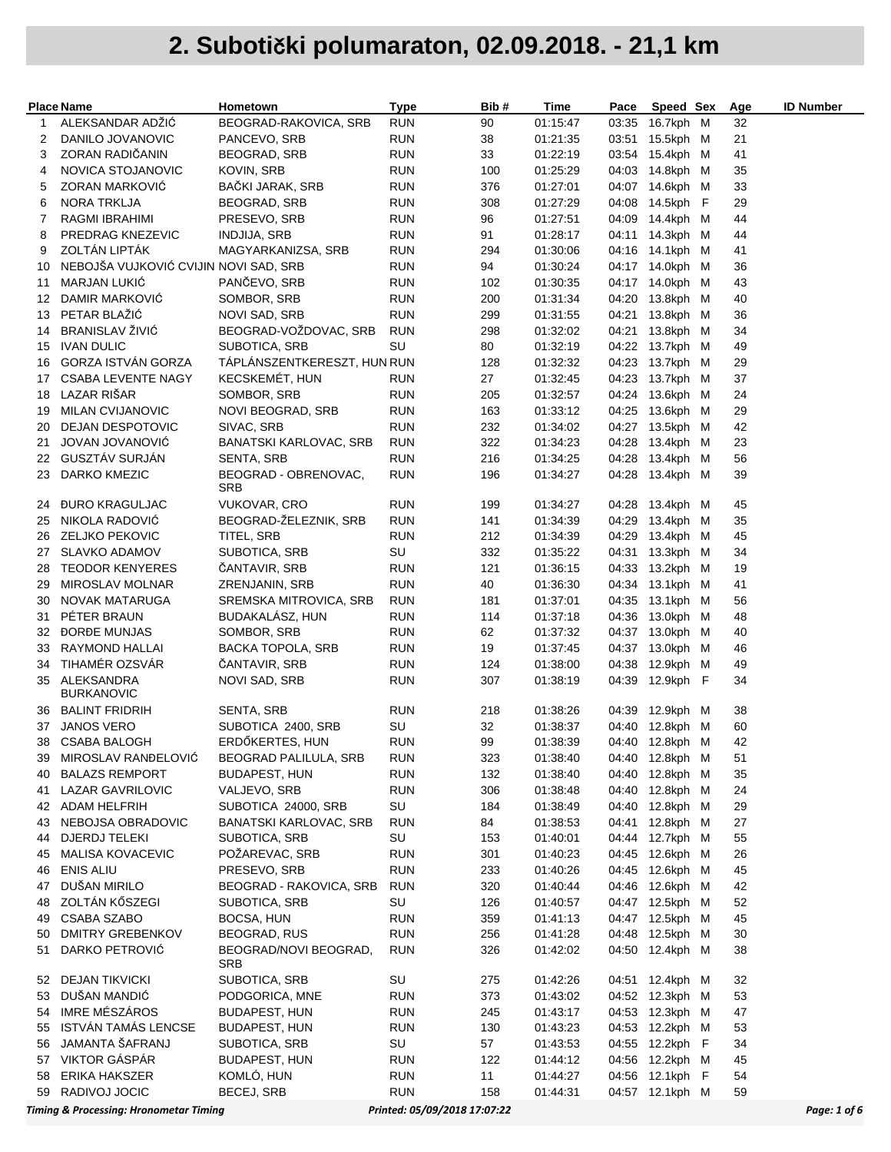|          | <b>Place Name</b>                                 | Hometown                            | Type                         | Bib#       | Time                 | Pace  | Speed Sex                          | Age      | <b>ID Number</b> |
|----------|---------------------------------------------------|-------------------------------------|------------------------------|------------|----------------------|-------|------------------------------------|----------|------------------|
| 1        | ALEKSANDAR ADŽIĆ                                  | BEOGRAD-RAKOVICA, SRB               | <b>RUN</b>                   | 90         | 01:15:47             |       | 03:35 16.7kph M                    | 32       |                  |
| 2        | DANILO JOVANOVIC                                  | PANCEVO, SRB                        | <b>RUN</b>                   | 38         | 01:21:35             |       | 03:51 15.5kph M                    | 21       |                  |
| 3        | ZORAN RADIČANIN                                   | BEOGRAD, SRB                        | <b>RUN</b>                   | 33         | 01:22:19             |       | 03:54 15.4kph M                    | 41       |                  |
| 4        | NOVICA STOJANOVIC                                 | <b>KOVIN, SRB</b>                   | <b>RUN</b>                   | 100        | 01:25:29             |       | 04:03 14.8kph M                    | 35       |                  |
| 5        | ZORAN MARKOVIC                                    | BAČKI JARAK, SRB                    | <b>RUN</b>                   | 376        | 01:27:01             |       | 04:07 14.6kph M                    | 33       |                  |
| 6        | NORA TRKLJA                                       | <b>BEOGRAD, SRB</b>                 | <b>RUN</b>                   | 308        | 01:27:29             |       | 04:08 14.5kph F                    | 29       |                  |
| 7        | RAGMI IBRAHIMI                                    | PRESEVO, SRB                        | <b>RUN</b>                   | 96         | 01:27:51             |       | 04:09 14.4kph M                    | 44       |                  |
| 8        | PREDRAG KNEZEVIC                                  | <b>INDJIJA, SRB</b>                 | <b>RUN</b>                   | 91         | 01:28:17             |       | 04:11 14.3kph M                    | 44       |                  |
| 9        | ZOLTÁN LIPTÁK                                     | MAGYARKANIZSA, SRB                  | <b>RUN</b>                   | 294        | 01:30:06             |       | 04:16 14.1kph M                    | 41       |                  |
| 10       | NEBOJŠA VUJKOVIĆ CVIJIN NOVI SAD, SRB             |                                     | <b>RUN</b>                   | 94         | 01:30:24             |       | 04:17 14.0kph M                    | 36       |                  |
| 11       | <b>MARJAN LUKIĆ</b>                               | PANČEVO, SRB                        | <b>RUN</b>                   | 102        | 01:30:35             |       | 04:17 14.0kph M                    | 43       |                  |
| 12       | DAMIR MARKOVIC                                    | SOMBOR, SRB                         | <b>RUN</b>                   | 200        | 01:31:34             |       | 04:20 13.8kph M                    | 40       |                  |
| 13       | PETAR BLAŽIĆ                                      | NOVI SAD, SRB                       | <b>RUN</b>                   | 299        | 01:31:55             |       | 04:21 13.8kph M                    | 36       |                  |
| 14       | BRANISLAV ŽIVIĆ                                   | BEOGRAD-VOŽDOVAC, SRB               | <b>RUN</b>                   | 298        | 01:32:02             |       | 04:21 13.8kph M                    | 34       |                  |
| 15       | <b>IVAN DULIC</b>                                 | SUBOTICA, SRB                       | SU                           | 80         | 01:32:19             |       | 04:22 13.7kph M                    | 49       |                  |
| 16       | GORZA ISTVÁN GORZA                                | TÁPLÁNSZENTKERESZT, HUN RUN         |                              | 128        | 01:32:32             |       | 04:23 13.7kph M                    | 29       |                  |
| 17       | <b>CSABA LEVENTE NAGY</b>                         | KECSKEMÉT, HUN                      | <b>RUN</b>                   | 27         | 01:32:45             |       | 04:23 13.7kph M                    | 37       |                  |
| 18       | LAZAR RIŠAR                                       | SOMBOR, SRB                         | <b>RUN</b>                   | 205        | 01:32:57             |       | 04:24 13.6kph M                    | 24       |                  |
| 19<br>20 | <b>MILAN CVIJANOVIC</b><br>DEJAN DESPOTOVIC       | NOVI BEOGRAD, SRB<br>SIVAC, SRB     | <b>RUN</b><br><b>RUN</b>     | 163<br>232 | 01:33:12<br>01:34:02 |       | 04:25 13.6kph M<br>04:27 13.5kph M | 29<br>42 |                  |
| 21       | JOVAN JOVANOVIĆ                                   | <b>BANATSKI KARLOVAC, SRB</b>       | <b>RUN</b>                   | 322        | 01:34:23             |       | 04:28 13.4kph M                    | 23       |                  |
|          | 22 GUSZTÁV SURJÁN                                 | SENTA, SRB                          | <b>RUN</b>                   | 216        | 01:34:25             |       | 04:28 13.4kph M                    | 56       |                  |
| 23       | DARKO KMEZIC                                      | BEOGRAD - OBRENOVAC,                | <b>RUN</b>                   | 196        | 01:34:27             |       | 04:28 13.4kph M                    | 39       |                  |
|          |                                                   | SRB                                 |                              |            |                      |       |                                    |          |                  |
| 24       | <b><i>DURO KRAGULJAC</i></b>                      | <b>VUKOVAR, CRO</b>                 | <b>RUN</b>                   | 199        | 01:34:27             |       | 04:28 13.4kph M                    | 45       |                  |
| 25       | NIKOLA RADOVIĆ                                    | BEOGRAD-ŽELEZNIK, SRB               | <b>RUN</b>                   | 141        | 01:34:39             |       | 04:29 13.4kph M                    | 35       |                  |
| 26       | ZELJKO PEKOVIC                                    | TITEL, SRB                          | <b>RUN</b>                   | 212        | 01:34:39             |       | 04:29 13.4kph M                    | 45       |                  |
| 27       | <b>SLAVKO ADAMOV</b>                              | SUBOTICA, SRB                       | SU                           | 332        | 01:35:22             |       | 04:31 13.3kph M                    | 34       |                  |
| 28       | <b>TEODOR KENYERES</b>                            | ČANTAVIR, SRB                       | <b>RUN</b>                   | 121        | 01:36:15             |       | 04:33 13.2kph M                    | 19       |                  |
| 29       | MIROSLAV MOLNAR                                   | ZRENJANIN, SRB                      | <b>RUN</b>                   | 40         | 01:36:30             |       | 04:34 13.1kph M                    | 41       |                  |
| 30       | NOVAK MATARUGA                                    | SREMSKA MITROVICA, SRB              | <b>RUN</b>                   | 181        | 01:37:01             |       | 04:35 13.1kph M                    | 56       |                  |
| 31       | PÉTER BRAUN                                       | BUDAKALÁSZ, HUN                     | <b>RUN</b>                   | 114        | 01:37:18             |       | 04:36 13.0kph M                    | 48       |                  |
|          | 32 DORDE MUNJAS                                   | SOMBOR, SRB                         | <b>RUN</b>                   | 62         | 01:37:32             |       | 04:37 13.0kph M                    | 40       |                  |
| 33       | RAYMOND HALLAI                                    | <b>BACKA TOPOLA, SRB</b>            | <b>RUN</b>                   | 19         | 01:37:45             |       | 04:37 13.0kph M                    | 46       |                  |
| 34       | TIHAMÉR OZSVÁR                                    | ČANTAVIR, SRB                       | <b>RUN</b>                   | 124        | 01:38:00             |       | 04:38 12.9kph M                    | 49       |                  |
|          | 35 ALEKSANDRA<br><b>BURKANOVIC</b>                | NOVI SAD, SRB                       | <b>RUN</b>                   | 307        | 01:38:19             |       | 04:39 12.9kph F                    | 34       |                  |
| 36       | <b>BALINT FRIDRIH</b>                             | SENTA, SRB                          | <b>RUN</b>                   | 218        | 01:38:26             | 04:39 | 12.9kph M                          | 38       |                  |
| 37       | <b>JANOS VERO</b>                                 | SUBOTICA 2400, SRB                  | SU                           | 32         | 01:38:37             |       | 04:40 12.8kph M                    | 60       |                  |
| 38       | <b>CSABA BALOGH</b>                               | ERDŐKERTES, HUN                     | <b>RUN</b>                   | 99         | 01:38:39             |       | 04:40 12.8kph M                    | 42       |                  |
| 39       | MIROSLAV RANĐELOVIĆ                               | <b>BEOGRAD PALILULA, SRB</b>        | <b>RUN</b>                   | 323        | 01:38:40             |       | 04:40 12.8kph M                    | 51       |                  |
| 40       | <b>BALAZS REMPORT</b>                             | <b>BUDAPEST, HUN</b>                | <b>RUN</b>                   | 132        | 01:38:40             |       | 04:40 12.8kph M                    | 35       |                  |
| 41       | LAZAR GAVRILOVIC                                  | VALJEVO, SRB                        | <b>RUN</b>                   | 306        | 01:38:48             |       | 04:40 12.8kph M                    | 24       |                  |
| 42       | <b>ADAM HELFRIH</b>                               | SUBOTICA 24000, SRB                 | SU                           | 184        | 01:38:49             |       | 04:40 12.8kph M                    | 29       |                  |
| 43       | NEBOJSA OBRADOVIC                                 | <b>BANATSKI KARLOVAC, SRB</b>       | <b>RUN</b>                   | 84         | 01:38:53             |       | 04:41 12.8kph M                    | 27       |                  |
| 44       | DJERDJ TELEKI                                     | SUBOTICA, SRB                       | SU                           | 153        | 01:40:01             |       | 04:44 12.7kph M                    | 55       |                  |
| 45       | MALISA KOVACEVIC                                  | POŽAREVAC, SRB                      | <b>RUN</b>                   | 301        | 01:40:23             |       | 04:45 12.6kph M                    | 26       |                  |
| 46       | <b>ENIS ALIU</b>                                  | PRESEVO, SRB                        | <b>RUN</b>                   | 233        | 01:40:26             |       | 04:45 12.6kph M                    | 45       |                  |
| 47       | DUŠAN MIRILO                                      | BEOGRAD - RAKOVICA, SRB             | <b>RUN</b>                   | 320        | 01:40:44             |       | 04:46 12.6kph M                    | 42       |                  |
| 48       | ZOLTÁN KŐSZEGI                                    | SUBOTICA, SRB                       | SU                           | 126        | 01:40:57             |       | 04:47 12.5kph M                    | 52       |                  |
| 49       | <b>CSABA SZABO</b>                                | BOCSA, HUN                          | <b>RUN</b>                   | 359        | 01:41:13             |       | 04:47 12.5kph M                    | 45       |                  |
| 50       | <b>DMITRY GREBENKOV</b>                           | <b>BEOGRAD, RUS</b>                 | <b>RUN</b>                   | 256        | 01:41:28             |       | 04:48 12.5kph M                    | 30       |                  |
| 51       | DARKO PETROVIĆ                                    | BEOGRAD/NOVI BEOGRAD,<br><b>SRB</b> | <b>RUN</b>                   | 326        | 01:42:02             |       | 04:50 12.4kph M                    | 38       |                  |
| 52       | <b>DEJAN TIKVICKI</b>                             | SUBOTICA, SRB                       | SU                           | 275        | 01:42:26             |       | 04:51 12.4kph M                    | 32       |                  |
| 53       | DUŠAN MANDIĆ                                      | PODGORICA, MNE                      | <b>RUN</b>                   | 373        | 01:43:02             |       | 04:52 12.3kph M                    | 53       |                  |
| 54       | <b>IMRE MÉSZÁROS</b>                              | <b>BUDAPEST, HUN</b>                | <b>RUN</b>                   | 245        | 01:43:17             |       | 04:53 12.3kph M                    | 47       |                  |
| 55       | <b>ISTVÁN TAMÁS LENCSE</b>                        | <b>BUDAPEST, HUN</b>                | <b>RUN</b>                   | 130        | 01:43:23             |       | 04:53 12.2kph M                    | 53       |                  |
| 56       | JAMANTA ŠAFRANJ                                   | SUBOTICA, SRB                       | SU                           | 57         | 01:43:53             |       | 04:55 12.2kph F                    | 34       |                  |
| 57       | VIKTOR GÁSPÁR                                     | <b>BUDAPEST, HUN</b>                | <b>RUN</b>                   | 122        | 01:44:12             |       | 04:56 12.2kph M                    | 45       |                  |
| 58       | ERIKA HAKSZER                                     | KOMLÓ, HUN                          | <b>RUN</b>                   | 11         | 01:44:27             |       | 04:56 12.1kph F                    | 54       |                  |
| 59       | RADIVOJ JOCIC                                     | BECEJ, SRB                          | <b>RUN</b>                   | 158        | 01:44:31             |       | 04:57 12.1kph M                    | 59       |                  |
|          | <b>Timing &amp; Processing: Hronometar Timing</b> |                                     | Printed: 05/09/2018 17:07:22 |            |                      |       |                                    |          | Page: 1 of 6     |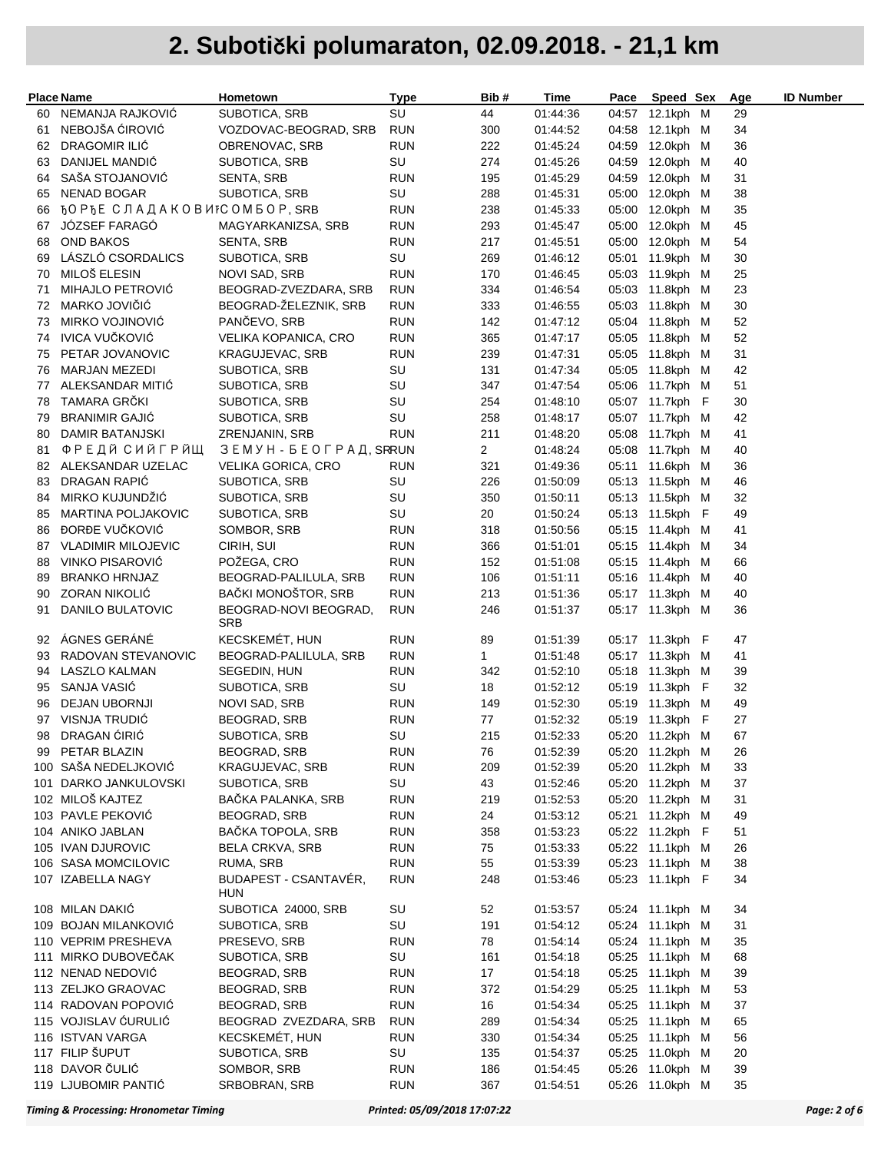|    | <b>Place Name</b>                     | Hometown                            | Type       | Bib #          | Time     | Pace  | Speed Sex       | Age | <b>ID Number</b> |
|----|---------------------------------------|-------------------------------------|------------|----------------|----------|-------|-----------------|-----|------------------|
| 60 | NEMANJA RAJKOVIĆ                      | SUBOTICA, SRB                       | SU         | 44             | 01:44:36 |       | 04:57 12.1kph M | 29  |                  |
| 61 | NEBOJŠA ĆIROVIĆ                       | VOZDOVAC-BEOGRAD, SRB               | <b>RUN</b> | 300            | 01:44:52 | 04:58 | 12.1kph M       | 34  |                  |
| 62 | DRAGOMIR ILIĆ                         | OBRENOVAC, SRB                      | RUN        | 222            | 01:45:24 | 04:59 | 12.0kph M       | 36  |                  |
| 63 | DANIJEL MANDIC                        | SUBOTICA, SRB                       | SU         | 274            | 01:45:26 | 04:59 | 12.0kph M       | 40  |                  |
| 64 | SAŠA STOJANOVIĆ                       | SENTA, SRB                          | <b>RUN</b> | 195            | 01:45:29 | 04:59 | 12.0kph M       | 31  |                  |
| 65 | NENAD BOGAR                           | SUBOTICA, SRB                       | SU         | 288            | 01:45:31 |       | 05:00 12.0kph M | 38  |                  |
| 66 | <b>ЂО РЂЕ СЛАДАКОВИ</b> ЕС ОМБОР, SRB |                                     | RUN        | 238            | 01:45:33 | 05:00 | 12.0kph M       | 35  |                  |
| 67 | JÓZSEF FARAGÓ                         | MAGYARKANIZSA, SRB                  | RUN        | 293            | 01:45:47 | 05:00 | 12.0kph M       | 45  |                  |
| 68 | <b>OND BAKOS</b>                      | SENTA, SRB                          | RUN        | 217            | 01:45:51 | 05:00 | 12.0kph M       | 54  |                  |
| 69 | LÁSZLÓ CSORDALICS                     | SUBOTICA, SRB                       | SU         | 269            | 01:46:12 |       | 05:01 11.9kph M | 30  |                  |
| 70 | MILOŠ ELESIN                          | NOVI SAD, SRB                       | RUN        | 170            | 01:46:45 |       | 05:03 11.9kph M | 25  |                  |
| 71 | MIHAJLO PETROVIĆ                      | BEOGRAD-ZVEZDARA, SRB               | RUN        | 334            | 01:46:54 |       | 05:03 11.8kph M | 23  |                  |
| 72 | MARKO JOVIČIĆ                         | BEOGRAD-ŽELEZNIK, SRB               | RUN        | 333            | 01:46:55 |       | 05:03 11.8kph M | 30  |                  |
| 73 | MIRKO VOJINOVIĆ                       | PANČEVO, SRB                        | RUN        | 142            | 01:47:12 | 05:04 | 11.8kph M       | 52  |                  |
| 74 | <b>IVICA VUČKOVIĆ</b>                 | VELIKA KOPANICA, CRO                | RUN        | 365            | 01:47:17 |       | 05:05 11.8kph M | 52  |                  |
| 75 | PETAR JOVANOVIC                       | KRAGUJEVAC, SRB                     | RUN        | 239            | 01:47:31 |       | 05:05 11.8kph M | 31  |                  |
| 76 | <b>MARJAN MEZEDI</b>                  | SUBOTICA, SRB                       | SU         | 131            | 01:47:34 |       | 05:05 11.8kph M | 42  |                  |
| 77 | ALEKSANDAR MITIĆ                      | SUBOTICA, SRB                       | SU         | 347            | 01:47:54 |       | 05:06 11.7kph M | 51  |                  |
| 78 | TAMARA GRČKI                          | SUBOTICA, SRB                       | SU         | 254            | 01:48:10 |       | 05:07 11.7kph F | 30  |                  |
| 79 | <b>BRANIMIR GAJIĆ</b>                 | SUBOTICA, SRB                       | SU         | 258            | 01:48:17 |       | 05:07 11.7kph M | 42  |                  |
| 80 | DAMIR BATANJSKI                       | ZRENJANIN, SRB                      | RUN        | 211            | 01:48:20 | 05:08 | 11.7kph M       | 41  |                  |
| 81 | ФРЕДЙ СИЙГРЙЩ                         | ЗЕМУН - БЕОГРАД, SRRUN              |            | $\overline{2}$ | 01:48:24 |       | 05:08 11.7kph M | 40  |                  |
| 82 | ALEKSANDAR UZELAC                     | VELIKA GORICA, CRO                  | RUN        | 321            | 01:49:36 |       | 05:11 11.6kph M | 36  |                  |
| 83 | DRAGAN RAPIĆ                          | SUBOTICA, SRB                       | SU         | 226            | 01:50:09 |       | 05:13 11.5kph M | 46  |                  |
| 84 | MIRKO KUJUNDŽIC                       | SUBOTICA, SRB                       | SU         | 350            | 01:50:11 |       | 05:13 11.5kph M | 32  |                  |
| 85 | MARTINA POLJAKOVIC                    | SUBOTICA, SRB                       | SU         | 20             | 01:50:24 |       | 05:13 11.5kph F | 49  |                  |
| 86 | <b>DORDE VUČKOVIĆ</b>                 | SOMBOR, SRB                         | RUN        | 318            | 01:50:56 |       | 05:15 11.4kph M | 41  |                  |
| 87 | <b>VLADIMIR MILOJEVIC</b>             | CIRIH, SUI                          | RUN        | 366            | 01:51:01 |       | 05:15 11.4kph M | 34  |                  |
| 88 | VINKO PISAROVIĆ                       | POŽEGA, CRO                         | RUN        | 152            | 01:51:08 |       | 05:15 11.4kph M | 66  |                  |
| 89 | <b>BRANKO HRNJAZ</b>                  | BEOGRAD-PALILULA, SRB               | RUN        | 106            | 01:51:11 |       | 05:16 11.4kph M | 40  |                  |
| 90 | <b>ZORAN NIKOLIC</b>                  | BAČKI MONOŠTOR, SRB                 | RUN        | 213            | 01:51:36 |       | 05:17 11.3kph M | 40  |                  |
| 91 | DANILO BULATOVIC                      | BEOGRAD-NOVI BEOGRAD,<br><b>SRB</b> | RUN        | 246            | 01:51:37 |       | 05:17 11.3kph M | 36  |                  |
| 92 | ÁGNES GERÁNÉ                          | <b>KECSKEMET, HUN</b>               | RUN        | 89             | 01:51:39 |       | 05:17 11.3kph F | 47  |                  |
| 93 | RADOVAN STEVANOVIC                    | BEOGRAD-PALILULA, SRB               | RUN        | $\mathbf{1}$   | 01:51:48 |       | 05:17 11.3kph M | 41  |                  |
| 94 | LASZLO KALMAN                         | SEGEDIN, HUN                        | RUN        | 342            | 01:52:10 |       | 05:18 11.3kph M | 39  |                  |
| 95 | SANJA VASIĆ                           | SUBOTICA, SRB                       | SU         | 18             | 01:52:12 |       | 05:19 11.3kph F | 32  |                  |
| 96 | <b>DEJAN UBORNJI</b>                  | NOVI SAD, SRB                       | RUN        | 149            | 01:52:30 |       | 05:19 11.3kph M | 49  |                  |
| 97 | VISNJA TRUDIĆ                         | <b>BEOGRAD, SRB</b>                 | <b>RUN</b> | 77             | 01:52:32 |       | 05:19 11.3kph F | 27  |                  |
| 98 | DRAGAN CIRIC                          | SUBOTICA, SRB                       | SU         | 215            | 01:52:33 |       | 05:20 11.2kph M | 67  |                  |
| 99 | PETAR BLAZIN                          | <b>BEOGRAD, SRB</b>                 | <b>RUN</b> | 76             | 01:52:39 |       | 05:20 11.2kph M | 26  |                  |
|    | 100 SAŠA NEDELJKOVIĆ                  | <b>KRAGUJEVAC, SRB</b>              | <b>RUN</b> | 209            | 01:52:39 |       | 05:20 11.2kph M | 33  |                  |
|    | 101 DARKO JANKULOVSKI                 | SUBOTICA, SRB                       | SU         | 43             | 01:52:46 |       | 05:20 11.2kph M | 37  |                  |
|    | 102 MILOŠ KAJTEZ                      | BAČKA PALANKA, SRB                  | <b>RUN</b> | 219            | 01:52:53 |       | 05:20 11.2kph M | 31  |                  |
|    | 103 PAVLE PEKOVIĆ                     | <b>BEOGRAD, SRB</b>                 | <b>RUN</b> | 24             | 01:53:12 |       | 05:21 11.2kph M | 49  |                  |
|    | 104 ANIKO JABLAN                      | BAČKA TOPOLA, SRB                   | RUN        | 358            | 01:53:23 |       | 05:22 11.2kph F | 51  |                  |
|    | 105 IVAN DJUROVIC                     | <b>BELA CRKVA, SRB</b>              | <b>RUN</b> | 75             | 01:53:33 |       | 05:22 11.1kph M | 26  |                  |
|    | 106 SASA MOMCILOVIC                   | RUMA, SRB                           | <b>RUN</b> | 55             | 01:53:39 |       | 05:23 11.1kph M | 38  |                  |
|    | 107 IZABELLA NAGY                     | BUDAPEST - CSANTAVER,<br><b>HUN</b> | <b>RUN</b> | 248            | 01:53:46 |       | 05:23 11.1kph F | 34  |                  |
|    | 108 MILAN DAKIĆ                       | SUBOTICA 24000, SRB                 | SU         | 52             | 01:53:57 |       | 05:24 11.1kph M | 34  |                  |
|    | 109 BOJAN MILANKOVIĆ                  | SUBOTICA, SRB                       | SU         | 191            | 01:54:12 |       | 05:24 11.1kph M | 31  |                  |
|    | 110 VEPRIM PRESHEVA                   | PRESEVO, SRB                        | <b>RUN</b> | 78             | 01:54:14 |       | 05:24 11.1kph M | 35  |                  |
|    | 111 MIRKO DUBOVEČAK                   | SUBOTICA, SRB                       | SU         | 161            | 01:54:18 |       | 05:25 11.1kph M | 68  |                  |
|    | 112 NENAD NEDOVIĆ                     | <b>BEOGRAD, SRB</b>                 | <b>RUN</b> | 17             | 01:54:18 |       | 05:25 11.1kph M | 39  |                  |
|    | 113 ZELJKO GRAOVAC                    | <b>BEOGRAD, SRB</b>                 | <b>RUN</b> | 372            | 01:54:29 |       | 05:25 11.1kph M | 53  |                  |
|    | 114 RADOVAN POPOVIĆ                   | BEOGRAD, SRB                        | RUN        | 16             | 01:54:34 |       | 05:25 11.1kph M | 37  |                  |
|    | 115 VOJISLAV ĆURULIĆ                  | BEOGRAD ZVEZDARA, SRB               | RUN        | 289            | 01:54:34 |       | 05:25 11.1kph M | 65  |                  |
|    | 116 ISTVAN VARGA                      | <b>KECSKEMET, HUN</b>               | RUN        | 330            | 01:54:34 |       | 05:25 11.1kph M | 56  |                  |
|    | 117 FILIP ŠUPUT                       | SUBOTICA, SRB                       | SU         | 135            | 01:54:37 | 05:25 | 11.0kph M       | 20  |                  |
|    | 118 DAVOR ČULIĆ                       | SOMBOR, SRB                         | <b>RUN</b> | 186            | 01:54:45 |       | 05:26 11.0kph M | 39  |                  |
|    | 119 LJUBOMIR PANTIĆ                   | SRBOBRAN, SRB                       | <b>RUN</b> | 367            | 01:54:51 |       | 05:26 11.0kph M | 35  |                  |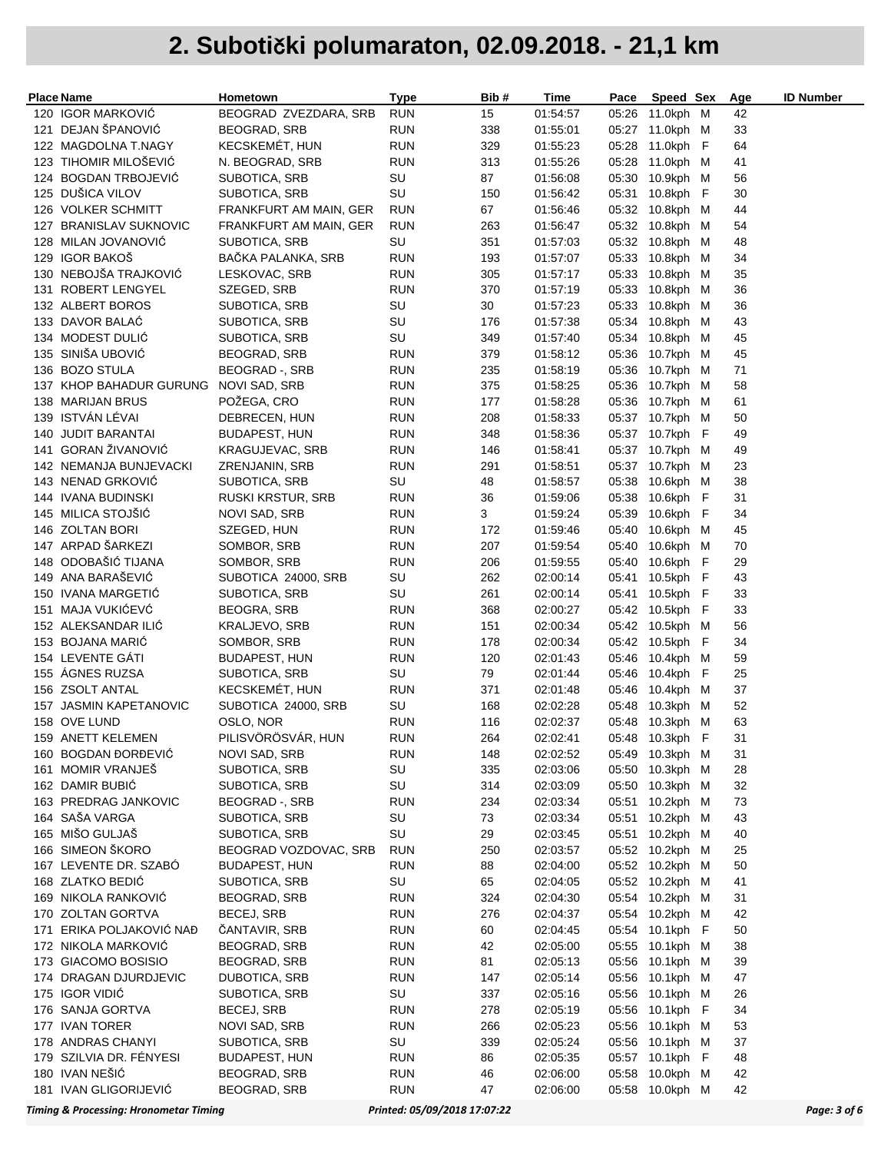|     | Place Name              | Hometown                 | Type       | Bib# | Time     | Pace  | Speed Sex       | <u>Age</u> | <b>ID Number</b> |
|-----|-------------------------|--------------------------|------------|------|----------|-------|-----------------|------------|------------------|
|     | 120 IGOR MARKOVIĆ       | BEOGRAD ZVEZDARA, SRB    | <b>RUN</b> | 15   | 01:54:57 | 05:26 | 11.0kph M       | 42         |                  |
|     | 121 DEJAN ŠPANOVIĆ      | <b>BEOGRAD, SRB</b>      | <b>RUN</b> | 338  | 01:55:01 | 05:27 | 11.0kph M       | 33         |                  |
|     | 122 MAGDOLNA T.NAGY     | <b>KECSKEMET, HUN</b>    | <b>RUN</b> | 329  | 01:55:23 | 05:28 | 11.0kph F       | 64         |                  |
|     | 123 TIHOMIR MILOŠEVIĆ   | N. BEOGRAD, SRB          | <b>RUN</b> | 313  | 01:55:26 | 05:28 | 11.0kph M       | 41         |                  |
|     | 124 BOGDAN TRBOJEVIĆ    | SUBOTICA, SRB            | SU         | 87   | 01:56:08 | 05:30 | 10.9kph M       | 56         |                  |
|     | 125 DUŠICA VILOV        | SUBOTICA, SRB            | SU         | 150  | 01:56:42 | 05:31 | 10.8kph F       | 30         |                  |
|     | 126 VOLKER SCHMITT      | FRANKFURT AM MAIN, GER   | <b>RUN</b> | 67   | 01:56:46 |       | 05:32 10.8kph M | 44         |                  |
|     | 127 BRANISLAV SUKNOVIC  | FRANKFURT AM MAIN, GER   | <b>RUN</b> | 263  | 01:56:47 |       | 05:32 10.8kph M | 54         |                  |
|     | 128 MILAN JOVANOVIĆ     | SUBOTICA, SRB            | SU         | 351  | 01:57:03 | 05:32 | 10.8kph M       | 48         |                  |
|     | 129 IGOR BAKOŠ          | BAČKA PALANKA, SRB       | <b>RUN</b> | 193  | 01:57:07 | 05:33 | 10.8kph M       | 34         |                  |
|     | 130 NEBOJŠA TRAJKOVIĆ   | LESKOVAC, SRB            | <b>RUN</b> | 305  | 01:57:17 | 05:33 | 10.8kph M       | 35         |                  |
|     | 131 ROBERT LENGYEL      | SZEGED, SRB              | <b>RUN</b> | 370  | 01:57:19 | 05:33 | 10.8kph M       | 36         |                  |
|     | 132 ALBERT BOROS        | SUBOTICA, SRB            | SU         | 30   | 01:57:23 | 05:33 | 10.8kph M       | 36         |                  |
|     | 133 DAVOR BALAC         | SUBOTICA, SRB            | SU         | 176  | 01:57:38 |       | 05:34 10.8kph M | 43         |                  |
|     | 134 MODEST DULIĆ        | SUBOTICA, SRB            | SU         | 349  | 01:57:40 |       | 05:34 10.8kph M | 45         |                  |
|     | 135 SINIŠA UBOVIĆ       | BEOGRAD, SRB             | <b>RUN</b> | 379  | 01:58:12 | 05:36 | 10.7kph M       | 45         |                  |
|     |                         |                          |            |      |          |       |                 |            |                  |
|     | 136 BOZO STULA          | BEOGRAD -, SRB           | <b>RUN</b> | 235  | 01:58:19 | 05:36 | 10.7kph M       | 71         |                  |
|     | 137 KHOP BAHADUR GURUNG | NOVI SAD, SRB            | <b>RUN</b> | 375  | 01:58:25 | 05:36 | 10.7kph M       | 58         |                  |
| 138 | MARIJAN BRUS            | POŽEGA, CRO              | <b>RUN</b> | 177  | 01:58:28 | 05:36 | 10.7kph M       | 61         |                  |
|     | 139 ISTVÁN LÉVAI        | DEBRECEN, HUN            | <b>RUN</b> | 208  | 01:58:33 |       | 05:37 10.7kph M | 50         |                  |
| 140 | <b>JUDIT BARANTAI</b>   | <b>BUDAPEST, HUN</b>     | <b>RUN</b> | 348  | 01:58:36 |       | 05:37 10.7kph F | 49         |                  |
|     | 141 GORAN ŽIVANOVIĆ     | KRAGUJEVAC, SRB          | <b>RUN</b> | 146  | 01:58:41 |       | 05:37 10.7kph M | 49         |                  |
|     | 142 NEMANJA BUNJEVACKI  | ZRENJANIN, SRB           | <b>RUN</b> | 291  | 01:58:51 |       | 05:37 10.7kph M | 23         |                  |
|     | 143 NENAD GRKOVIĆ       | SUBOTICA, SRB            | SU         | 48   | 01:58:57 | 05:38 | 10.6kph M       | 38         |                  |
|     | 144 IVANA BUDINSKI      | <b>RUSKI KRSTUR, SRB</b> | <b>RUN</b> | 36   | 01:59:06 | 05:38 | 10.6kph F       | 31         |                  |
|     | 145 MILICA STOJŠIĆ      | NOVI SAD, SRB            | <b>RUN</b> | 3    | 01:59:24 | 05:39 | 10.6kph F       | 34         |                  |
|     | 146 ZOLTAN BORI         | SZEGED, HUN              | <b>RUN</b> | 172  | 01:59:46 | 05:40 | 10.6kph M       | 45         |                  |
|     | 147 ARPAD ŠARKEZI       | SOMBOR, SRB              | <b>RUN</b> | 207  | 01:59:54 | 05:40 | 10.6kph M       | 70         |                  |
|     | 148 ODOBAŠIĆ TIJANA     | Sombor, Srb              | <b>RUN</b> | 206  | 01:59:55 | 05:40 | 10.6kph F       | 29         |                  |
|     | 149 ANA BARAŠEVIĆ       | SUBOTICA 24000, SRB      | SU         | 262  | 02:00:14 | 05:41 | 10.5kph F       | 43         |                  |
|     | 150 IVANA MARGETIĆ      | SUBOTICA, SRB            | SU         | 261  | 02:00:14 | 05:41 | 10.5kph F       | 33         |                  |
| 151 | MAJA VUKIĆEVĆ           | BEOGRA, SRB              | <b>RUN</b> | 368  | 02:00:27 |       | 05:42 10.5kph F | 33         |                  |
|     | 152 ALEKSANDAR ILIĆ     | <b>KRALJEVO, SRB</b>     | <b>RUN</b> | 151  | 02:00:34 |       | 05:42 10.5kph M | 56         |                  |
|     | 153 BOJANA MARIC        | SOMBOR, SRB              | <b>RUN</b> | 178  | 02:00:34 |       | 05:42 10.5kph F | 34         |                  |
|     | 154 LEVENTE GATI        | <b>BUDAPEST, HUN</b>     | <b>RUN</b> | 120  | 02:01:43 | 05:46 | 10.4kph M       | 59         |                  |
|     | 155 AGNES RUZSA         | SUBOTICA, SRB            | SU         | 79   | 02:01:44 | 05:46 | 10.4kph F       | 25         |                  |
|     | 156 ZSOLT ANTAL         | <b>KECSKEMET, HUN</b>    | <b>RUN</b> | 371  | 02:01:48 | 05:46 | 10.4kph M       | 37         |                  |
|     | 157 JASMIN KAPETANOVIC  | SUBOTICA 24000, SRB      | SU         | 168  | 02:02:28 | 05:48 | 10.3kph M       | 52         |                  |
|     | 158 OVE LUND            | OSLO, NOR                | <b>RUN</b> | 116  | 02:02:37 |       | 05:48 10.3kph M | 63         |                  |
|     | 159 ANETT KELEMEN       | PILISVÖRÖSVÁR, HUN       | <b>RUN</b> | 264  | 02:02:41 |       | 05:48 10.3kph F | 31         |                  |
|     | 160 BOGDAN ĐORĐEVIC     | NOVI SAD, SRB            | <b>RUN</b> | 148  | 02:02:52 |       | 05:49 10.3kph M | 31         |                  |
|     | 161 MOMIR VRANJEŠ       | SUBOTICA, SRB            | SU         | 335  | 02:03:06 |       | 05:50 10.3kph M | 28         |                  |
|     | 162 DAMIR BUBIĆ         | SUBOTICA, SRB            | SU         | 314  | 02:03:09 | 05:50 | 10.3kph M       | 32         |                  |
|     | 163 PREDRAG JANKOVIC    | BEOGRAD -, SRB           | <b>RUN</b> | 234  | 02:03:34 | 05:51 | 10.2kph M       | 73         |                  |
|     | 164 SAŠA VARGA          | SUBOTICA, SRB            | SU         | 73   | 02:03:34 | 05:51 | 10.2kph M       | 43         |                  |
|     | 165 MIŠO GULJAŠ         | SUBOTICA, SRB            | SU         | 29   | 02:03:45 | 05:51 | 10.2kph M       | 40         |                  |
|     | 166 SIMEON ŠKORO        | BEOGRAD VOZDOVAC, SRB    | <b>RUN</b> | 250  | 02:03:57 |       | 05:52 10.2kph M | 25         |                  |
|     | 167 LEVENTE DR. SZABÓ   | <b>BUDAPEST, HUN</b>     | <b>RUN</b> | 88   | 02:04:00 |       | 05:52 10.2kph M | 50         |                  |
|     | 168 ZLATKO BEDIĆ        | SUBOTICA, SRB            | SU         | 65   | 02:04:05 |       | 05:52 10.2kph M | 41         |                  |
|     | 169 NIKOLA RANKOVIĆ     | <b>BEOGRAD, SRB</b>      | <b>RUN</b> | 324  | 02:04:30 |       | 05:54 10.2kph M | 31         |                  |
|     | 170 ZOLTAN GORTVA       | BECEJ, SRB               | <b>RUN</b> | 276  | 02:04:37 |       | 05:54 10.2kph M | 42         |                  |
| 171 | ERIKA POLJAKOVIC NAĐ    | ČANTAVIR, SRB            | <b>RUN</b> | 60   | 02:04:45 |       | 05:54 10.1kph F | 50         |                  |
|     | 172 NIKOLA MARKOVIĆ     | <b>BEOGRAD, SRB</b>      | <b>RUN</b> | 42   | 02:05:00 | 05:55 | 10.1kph M       | 38         |                  |
|     | 173 GIACOMO BOSISIO     | <b>BEOGRAD, SRB</b>      | <b>RUN</b> | 81   | 02:05:13 | 05:56 | 10.1kph M       | 39         |                  |
|     | 174 DRAGAN DJURDJEVIC   | DUBOTICA, SRB            | <b>RUN</b> | 147  | 02:05:14 | 05:56 | 10.1kph M       | 47         |                  |
|     | 175 IGOR VIDIÓ          | SUBOTICA, SRB            | SU         | 337  | 02:05:16 | 05:56 | 10.1kph M       | 26         |                  |
|     | 176 SANJA GORTVA        | BECEJ, SRB               | <b>RUN</b> | 278  | 02:05:19 | 05:56 | 10.1kph F       | 34         |                  |
|     | 177 IVAN TORER          | NOVI SAD, SRB            | <b>RUN</b> | 266  | 02:05:23 | 05:56 | 10.1kph M       | 53         |                  |
|     | 178 ANDRAS CHANYI       | SUBOTICA, SRB            | SU         | 339  | 02:05:24 | 05:56 | 10.1kph M       | 37         |                  |
|     | 179 SZILVIA DR. FÉNYESI | <b>BUDAPEST, HUN</b>     | <b>RUN</b> | 86   | 02:05:35 |       | 05:57 10.1kph F | 48         |                  |
|     | 180 IVAN NEŠIĆ          | BEOGRAD, SRB             | <b>RUN</b> | 46   | 02:06:00 | 05:58 | 10.0kph M       | 42         |                  |
|     | 181 IVAN GLIGORIJEVIĆ   | BEOGRAD, SRB             |            | 47   |          |       | 05:58 10.0kph M | 42         |                  |
|     |                         |                          | <b>RUN</b> |      | 02:06:00 |       |                 |            |                  |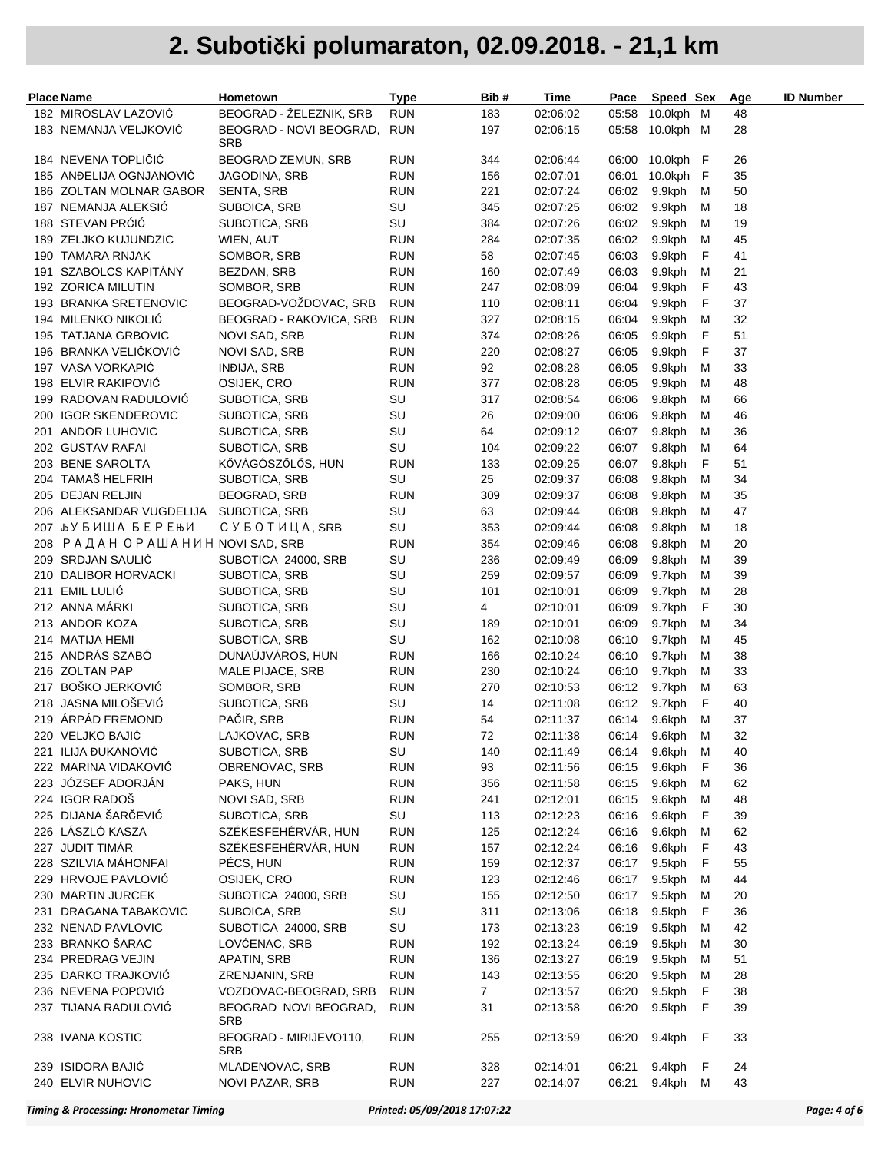| <b>Place Name</b>                      | Hometown                           | <b>Type</b>              | Bib#           | Time                 | Pace           | Speed Sex            |   | Age      | <b>ID Number</b> |
|----------------------------------------|------------------------------------|--------------------------|----------------|----------------------|----------------|----------------------|---|----------|------------------|
| 182 MIROSLAV LAZOVIĆ                   | BEOGRAD - ŽELEZNIK, SRB            | <b>RUN</b>               | 183            | 02:06:02             | 05:58          | 10.0kph M            |   | 48       |                  |
| 183 NEMANJA VELJKOVIĆ                  | BEOGRAD - NOVI BEOGRAD,            | <b>RUN</b>               | 197            | 02:06:15             |                | 05:58 10.0kph M      |   | 28       |                  |
|                                        | SRB                                |                          |                |                      |                |                      |   |          |                  |
| 184 NEVENA TOPLIČIĆ                    | BEOGRAD ZEMUN, SRB                 | <b>RUN</b>               | 344            | 02:06:44             |                | 06:00 10.0kph F      |   | 26       |                  |
| 185 ANDELIJA OGNJANOVIĆ                | JAGODINA, SRB                      | RUN                      | 156            | 02:07:01             | 06:01          | 10.0kph F            |   | 35       |                  |
| 186 ZOLTAN MOLNAR GABOR                | SENTA, SRB                         | <b>RUN</b>               | 221            | 02:07:24             | 06:02          | 9.9kph               | M | 50       |                  |
| 187 NEMANJA ALEKSIC                    | SUBOICA, SRB                       | SU                       | 345            | 02:07:25             | 06:02          | 9.9kph               | M | 18       |                  |
| 188 STEVAN PRÓIÓ                       | SUBOTICA, SRB                      | SU                       | 384            | 02:07:26             | 06:02          | 9.9kph               | м | 19       |                  |
| 189 ZELJKO KUJUNDZIC                   | WIEN, AUT                          | <b>RUN</b>               | 284            | 02:07:35             | 06:02          | 9.9kph               | M | 45       |                  |
| 190 TAMARA RNJAK                       | SOMBOR, SRB                        | <b>RUN</b>               | 58             | 02:07:45             | 06:03          | 9.9kph               | F | 41       |                  |
| 191 SZABOLCS KAPITÁNY                  | BEZDAN, SRB                        | <b>RUN</b>               | 160            | 02:07:49             | 06:03          | 9.9kph               | м | 21       |                  |
| 192 ZORICA MILUTIN                     | SOMBOR, SRB                        | <b>RUN</b>               | 247            | 02:08:09             | 06:04          | 9.9kph               | F | 43       |                  |
| 193 BRANKA SRETENOVIC                  | BEOGRAD-VOŽDOVAC, SRB              | <b>RUN</b>               | 110            | 02:08:11             | 06:04          | 9.9kph               | F | 37       |                  |
| 194 MILENKO NIKOLIĆ                    | BEOGRAD - RAKOVICA, SRB            | <b>RUN</b>               | 327            | 02:08:15             | 06:04          | 9.9kph               | M | 32       |                  |
| 195 TATJANA GRBOVIC                    | NOVI SAD, SRB                      | RUN                      | 374            | 02:08:26             | 06:05          | 9.9kph               | F | 51       |                  |
| 196 BRANKA VELIČKOVIĆ                  | NOVI SAD, SRB                      | <b>RUN</b>               | 220            | 02:08:27             | 06:05          | 9.9kph               | F | 37       |                  |
| 197 VASA VORKAPIĆ                      | <b>INDIJA, SRB</b>                 | <b>RUN</b>               | 92             | 02:08:28             | 06:05          | 9.9kph               | м | 33       |                  |
| 198 ELVIR RAKIPOVIĆ                    | OSIJEK, CRO                        | <b>RUN</b>               | 377            | 02:08:28             | 06:05          | 9.9kph               | м | 48       |                  |
| 199 RADOVAN RADULOVIC                  | SUBOTICA, SRB                      | SU                       | 317            | 02:08:54             | 06:06          | 9.8kph               | м | 66       |                  |
| 200 IGOR SKENDEROVIC                   | SUBOTICA, SRB                      | SU                       | 26             | 02:09:00             | 06:06          | 9.8kph               | м | 46       |                  |
| 201 ANDOR LUHOVIC                      | SUBOTICA, SRB                      | SU                       | 64             | 02:09:12             | 06:07          | 9.8kph               | м | 36       |                  |
| 202 GUSTAV RAFAI                       | SUBOTICA, SRB                      | SU                       | 104            | 02:09:22             | 06:07          | 9.8kph               | м | 64       |                  |
| 203 BENE SAROLTA                       | KŐVÁGÓSZŐLŐS, HUN                  | <b>RUN</b>               | 133            | 02:09:25             | 06:07          | 9.8kph               | F | 51       |                  |
| 204 TAMAŠ HELFRIH                      | SUBOTICA, SRB                      | SU                       | 25             | 02:09:37             | 06:08          | 9.8kph               | м | 34       |                  |
| 205 DEJAN RELJIN                       | BEOGRAD, SRB                       | <b>RUN</b>               | 309            | 02:09:37             | 06:08          | 9.8kph               | м | 35       |                  |
| 206 ALEKSANDAR VUGDELIJA SUBOTICA, SRB |                                    | SU                       | 63             | 02:09:44             | 06:08          | 9.8kph               | м | 47       |                  |
| 207 ЉУБИША БЕРЕЊИ                      | C Y E O T <i>H</i> LL A , SRB      | SU                       | 353            | 02:09:44             | 06:08          | 9.8kph               | M | 18       |                  |
| 208 РАДАН ОРАШАНИН NOVISAD, SRB        |                                    | <b>RUN</b>               | 354            | 02:09:46             | 06:08          | 9.8kph               | м | 20       |                  |
| 209 SRDJAN SAULIĆ                      | SUBOTICA 24000, SRB                | SU                       | 236            | 02:09:49             | 06:09          | 9.8kph               | м | 39       |                  |
| 210 DALIBOR HORVACKI                   | SUBOTICA, SRB                      | SU                       | 259            | 02:09:57             | 06:09          | 9.7kph               | M | 39       |                  |
| 211 EMIL LULIĆ                         | SUBOTICA, SRB                      | SU                       | 101            | 02:10:01             | 06:09          | 9.7kph               | M | 28       |                  |
| 212 ANNA MÁRKI                         | SUBOTICA, SRB                      | SU                       | 4              | 02:10:01             | 06:09          | 9.7kph               | F | 30       |                  |
| 213 ANDOR KOZA                         | SUBOTICA, SRB                      | SU                       | 189            | 02:10:01             | 06:09          | 9.7kph               | м | 34       |                  |
| 214 MATIJA HEMI                        | SUBOTICA, SRB                      | SU                       | 162            | 02:10:08             | 06:10          | 9.7kph               | м | 45       |                  |
| 215 ANDRÁS SZABÓ                       | DUNAUJVAROS, HUN                   | <b>RUN</b>               | 166            | 02:10:24             | 06:10          | 9.7kph               | м | 38       |                  |
| 216 ZOLTAN PAP                         | MALE PIJACE, SRB                   | <b>RUN</b>               | 230            | 02:10:24             | 06:10          | 9.7kph               | M | 33       |                  |
| 217 BOŠKO JERKOVIĆ                     | SOMBOR, SRB                        | <b>RUN</b>               | 270            | 02:10:53             | 06:12          | 9.7kph               | м | 63       |                  |
| 218 JASNA MILOŠEVIĆ                    | SUBOTICA, SRB                      | SU                       | 14             | 02:11:08             | 06:12          | 9.7kph               | F | 40       |                  |
| 219 ÁRPÁD FREMOND                      | PAČIR, SRB                         | <b>RUN</b>               | 54             | 02:11:37             | 06:14          | 9.6kph               | м | 37       |                  |
| 220 VELJKO BAJIĆ                       | LAJKOVAC, SRB                      | <b>RUN</b>               | 72             | 02:11:38             |                | 06:14 9.6kph         | M | 32       |                  |
| 221 ILIJA ĐUKANOVIĆ                    | SUBOTICA, SRB                      | SU                       | 140            | 02:11:49             | 06:14          | 9.6kph M             |   | 40       |                  |
| 222 MARINA VIDAKOVIĆ                   | OBRENOVAC, SRB                     | <b>RUN</b>               | 93             | 02:11:56             | 06:15          | 9.6kph               | F | 36       |                  |
| 223 JÓZSEF ADORJÁN                     | PAKS, HUN                          | <b>RUN</b>               | 356            | 02:11:58             | 06:15          | 9.6kph               | M | 62       |                  |
| 224 IGOR RADOŠ                         | NOVI SAD, SRB                      | <b>RUN</b>               | 241            | 02:12:01             | 06:15          | 9.6kph M             |   | 48       |                  |
| 225 DIJANA ŠARČEVIĆ                    | SUBOTICA, SRB                      | SU                       | 113            | 02:12:23             | 06:16          | 9.6kph               | F | 39       |                  |
| 226 LÁSZLÓ KASZA                       | SZÉKESFEHÉRVÁR, HUN                | <b>RUN</b>               | 125            | 02:12:24             | 06:16          | 9.6kph               | м | 62       |                  |
| 227 JUDIT TIMÁR                        | SZÉKESFEHÉRVÁR, HUN                | <b>RUN</b>               | 157            | 02:12:24             | 06:16          | 9.6kph               | F | 43       |                  |
| 228 SZILVIA MÁHONFAI                   | PÉCS, HUN                          | <b>RUN</b>               | 159            | 02:12:37             | 06:17          | 9.5kph               | F | 55       |                  |
| 229 HRVOJE PAVLOVIĆ                    | OSIJEK, CRO                        | <b>RUN</b>               | 123            | 02:12:46             | 06:17          | 9.5kph               | M | 44       |                  |
| 230 MARTIN JURCEK                      | SUBOTICA 24000, SRB                | SU                       | 155            | 02:12:50             | 06:17          | 9.5kph               | M | 20       |                  |
| 231 DRAGANA TABAKOVIC                  | SUBOICA, SRB                       | SU                       | 311            | 02:13:06             | 06:18          | 9.5kph               | F | 36       |                  |
| 232 NENAD PAVLOVIC                     | SUBOTICA 24000, SRB                | SU                       | 173            | 02:13:23             | 06:19          | 9.5kph               | м | 42       |                  |
| 233 BRANKO ŠARAC                       | LOVĆENAC, SRB                      | <b>RUN</b>               | 192            | 02:13:24             | 06:19          | 9.5kph               | м | 30       |                  |
| 234 PREDRAG VEJIN                      | APATIN, SRB                        | <b>RUN</b>               | 136            | 02:13:27             | 06:19          | 9.5kph               | м | 51       |                  |
| 235 DARKO TRAJKOVIĆ                    | ZRENJANIN, SRB                     | <b>RUN</b>               | 143            | 02:13:55             | 06:20          | 9.5kph               | м | 28       |                  |
| 236 NEVENA POPOVIĆ                     | VOZDOVAC-BEOGRAD, SRB              | <b>RUN</b>               | $\overline{7}$ | 02:13:57             | 06:20          | 9.5kph F             |   | 38       |                  |
| 237 TIJANA RADULOVIĆ                   | BEOGRAD NOVI BEOGRAD,<br>SRB       | <b>RUN</b>               | 31             | 02:13:58             | 06:20          | 9.5kph               | F | 39       |                  |
| 238 IVANA KOSTIC                       | BEOGRAD - MIRIJEVO110,<br>SRB      | <b>RUN</b>               | 255            | 02:13:59             | 06:20          | 9.4kph F             |   | 33       |                  |
| 239 ISIDORA BAJIĆ<br>240 ELVIR NUHOVIC | MLADENOVAC, SRB<br>NOVI PAZAR, SRB | <b>RUN</b><br><b>RUN</b> | 328<br>227     | 02:14:01<br>02:14:07 | 06:21<br>06:21 | 9.4kph F<br>9.4kph M |   | 24<br>43 |                  |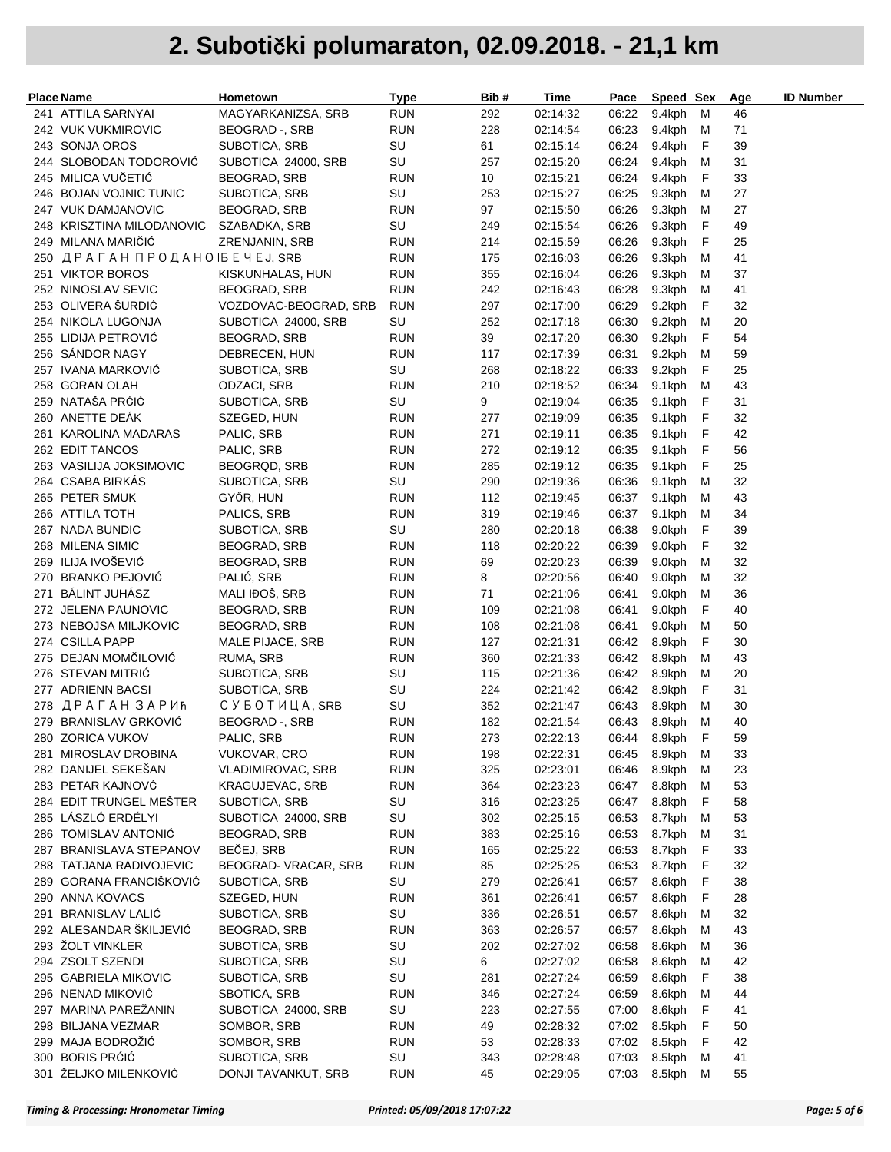| <b>Place Name</b>                           | Hometown                       | <b>Type</b>      | Bib#       | Time                 | Pace           | Speed Sex        |        | Age      | <b>ID Number</b> |
|---------------------------------------------|--------------------------------|------------------|------------|----------------------|----------------|------------------|--------|----------|------------------|
| 241 ATTILA SARNYAI                          | MAGYARKANIZSA, SRB             | <b>RUN</b>       | 292        | 02:14:32             | 06:22          | 9.4kph           | M      | 46       |                  |
| 242 VUK VUKMIROVIC                          | BEOGRAD -, SRB                 | <b>RUN</b>       | 228        | 02:14:54             | 06:23          | 9.4kph M         |        | 71       |                  |
| 243 SONJA OROS                              | SUBOTICA, SRB                  | SU               | 61         | 02:15:14             | 06:24          | 9.4kph           | F      | 39       |                  |
| 244 SLOBODAN TODOROVIĆ                      | SUBOTICA 24000, SRB            | SU               | 257        | 02:15:20             | 06:24          | 9.4kph           | M      | 31       |                  |
| 245 MILICA VUČETIĆ                          | BEOGRAD, SRB                   | <b>RUN</b>       | 10         | 02:15:21             | 06:24          | 9.4kph           | F      | 33       |                  |
| 246 BOJAN VOJNIC TUNIC                      | SUBOTICA, SRB                  | SU               | 253        | 02:15:27             | 06:25          | 9.3kph           | м      | 27       |                  |
| 247 VUK DAMJANOVIC                          | <b>BEOGRAD, SRB</b>            | <b>RUN</b>       | 97         | 02:15:50             | 06:26          | 9.3kph           | M      | 27       |                  |
| 248 KRISZTINA MILODANOVIC                   | SZABADKA, SRB                  | SU               | 249        | 02:15:54             | 06:26          | 9.3kph           | F      | 49       |                  |
| 249 MILANA MARICIC                          | ZRENJANIN, SRB                 | <b>RUN</b>       | 214        | 02:15:59             | 06:26          | 9.3kph           | F      | 25       |                  |
| 250 ДРАГАН ПРОДАНО IБЕЧЕЈ, SRB              |                                | <b>RUN</b>       | 175        | 02:16:03             | 06:26          | 9.3kph           | м      | 41       |                  |
| 251 VIKTOR BOROS                            | KISKUNHALAS, HUN               | <b>RUN</b>       | 355        | 02:16:04             | 06:26          | 9.3kph           | м      | 37       |                  |
| 252 NINOSLAV SEVIC                          | <b>BEOGRAD, SRB</b>            | <b>RUN</b>       | 242        | 02:16:43             | 06:28          | 9.3kph           | м      | 41       |                  |
| 253 OLIVERA ŠURDIĆ                          | VOZDOVAC-BEOGRAD, SRB          | <b>RUN</b>       | 297        | 02:17:00             | 06:29          | 9.2kph           | F      | 32       |                  |
| 254 NIKOLA LUGONJA                          | SUBOTICA 24000, SRB            | SU               | 252        | 02:17:18             | 06:30          | 9.2kph           | M      | 20       |                  |
| 255 LIDIJA PETROVIĆ                         | <b>BEOGRAD, SRB</b>            | <b>RUN</b>       | 39         | 02:17:20             | 06:30          | 9.2kph           | F      | 54       |                  |
| 256 SANDOR NAGY                             | DEBRECEN, HUN                  | <b>RUN</b>       | 117        | 02:17:39             | 06:31          | 9.2kph           | M      | 59       |                  |
| 257 IVANA MARKOVIĆ                          | SUBOTICA, SRB                  | SU               | 268        | 02:18:22             | 06:33          | 9.2kph           | F      | 25       |                  |
| 258 GORAN OLAH                              | ODZACI, SRB                    | <b>RUN</b>       | 210        | 02:18:52             | 06:34          | 9.1kph           | м      | 43       |                  |
| 259 NATAŠA PRĆIĆ                            | SUBOTICA, SRB                  | SU               | 9          | 02:19:04             | 06:35          | 9.1kph           | F      | 31       |                  |
| 260 ANETTE DEÁK                             | SZEGED, HUN                    | <b>RUN</b>       | 277        | 02:19:09             | 06:35          | 9.1kph           | F      | 32       |                  |
| 261 KAROLINA MADARAS                        | PALIC, SRB                     | <b>RUN</b>       | 271        | 02:19:11             | 06:35          | 9.1kph           | F      | 42       |                  |
| 262 EDIT TANCOS                             | PALIC, SRB                     | <b>RUN</b>       | 272        | 02:19:12             | 06:35          | 9.1kph           | F      | 56       |                  |
| 263 VASILIJA JOKSIMOVIC<br>264 CSABA BIRKÁS | BEOGRQD, SRB                   | <b>RUN</b>       | 285        | 02:19:12             | 06:35          | 9.1kph           | F<br>м | 25       |                  |
| 265 PETER SMUK                              | SUBOTICA, SRB<br>GYŐR, HUN     | SU<br><b>RUN</b> | 290<br>112 | 02:19:36<br>02:19:45 | 06:36<br>06:37 | 9.1kph<br>9.1kph | м      | 32<br>43 |                  |
| 266 ATTILA TOTH                             | PALICS, SRB                    | <b>RUN</b>       | 319        | 02:19:46             | 06:37          | 9.1kph           | M      | 34       |                  |
| 267 NADA BUNDIC                             | SUBOTICA, SRB                  | SU               | 280        | 02:20:18             | 06:38          | 9.0kph           | F      | 39       |                  |
| 268 MILENA SIMIC                            | <b>BEOGRAD, SRB</b>            | <b>RUN</b>       | 118        | 02:20:22             | 06:39          | 9.0kph           | F      | 32       |                  |
| 269 ILIJA IVOŠEVIĆ                          | BEOGRAD, SRB                   | <b>RUN</b>       | 69         | 02:20:23             | 06:39          | 9.0kph           | м      | 32       |                  |
| 270 BRANKO PEJOVIĆ                          | PALIĆ, SRB                     | <b>RUN</b>       | 8          | 02:20:56             | 06:40          | 9.0kph           | м      | 32       |                  |
| 271 BALINT JUHASZ                           | MALI IĐOŠ, SRB                 | <b>RUN</b>       | 71         | 02:21:06             | 06:41          | 9.0kph           | M      | 36       |                  |
| 272 JELENA PAUNOVIC                         | BEOGRAD, SRB                   | <b>RUN</b>       | 109        | 02:21:08             | 06:41          | 9.0kph           | F      | 40       |                  |
| 273 NEBOJSA MILJKOVIC                       | BEOGRAD, SRB                   | <b>RUN</b>       | 108        | 02:21:08             | 06:41          | 9.0kph           | м      | 50       |                  |
| 274 CSILLA PAPP                             | MALE PIJACE, SRB               | <b>RUN</b>       | 127        | 02:21:31             | 06:42          | 8.9kph           | F      | 30       |                  |
| 275 DEJAN MOMCILOVIC                        | RUMA, SRB                      | <b>RUN</b>       | 360        | 02:21:33             | 06:42          | 8.9kph           | M      | 43       |                  |
| 276 STEVAN MITRIC                           | SUBOTICA, SRB                  | SU               | 115        | 02:21:36             | 06:42          | 8.9kph           | м      | 20       |                  |
| 277 ADRIENN BACSI                           | SUBOTICA, SRB                  | SU               | 224        | 02:21:42             | 06:42          | 8.9kph           | F      | 31       |                  |
| 278 ДРАГАН ЗАРИЋ                            | C Y E O T <i>H</i> L A, SRB    | SU               | 352        | 02:21:47             | 06:43          | 8.9kph           | м      | 30       |                  |
| 279 BRANISLAV GRKOVIĆ                       | <b>BEOGRAD</b> -, SRB          | <b>RUN</b>       | 182        | 02:21:54             |                | 06:43 8.9kph M   |        | 40       |                  |
| 280 ZORICA VUKOV                            | PALIC, SRB                     | <b>RUN</b>       | 273        | 02:22:13             |                | 06:44 8.9kph     | F      | 59       |                  |
| 281 MIROSLAV DROBINA                        | VUKOVAR, CRO                   | RUN              | 198        | 02:22:31             |                | 06:45 8.9kph M   |        | 33       |                  |
| 282 DANIJEL SEKEŠAN                         | <b>VLADIMIROVAC, SRB</b>       | <b>RUN</b>       | 325        | 02:23:01             | 06:46          | 8.9kph           | M      | 23       |                  |
| 283 PETAR KAJNOVĆ                           | <b>KRAGUJEVAC, SRB</b>         | <b>RUN</b>       | 364        | 02:23:23             | 06:47          | 8.8kph           | M      | 53       |                  |
| 284 EDIT TRUNGEL MEŠTER                     | SUBOTICA, SRB                  | SU               | 316        | 02:23:25             | 06:47          | 8.8kph           | F      | 58       |                  |
| 285 LÁSZLÓ ERDÉLYI                          | SUBOTICA 24000, SRB            | SU               | 302        | 02:25:15             | 06:53          | 8.7kph           | M      | 53       |                  |
| 286 TOMISLAV ANTONIĆ                        | BEOGRAD, SRB                   | <b>RUN</b>       | 383        | 02:25:16             | 06:53          | 8.7kph           | M      | 31       |                  |
| 287 BRANISLAVA STEPANOV                     | BEČEJ, SRB                     | <b>RUN</b>       | 165        | 02:25:22             | 06:53          | 8.7kph           | F      | 33       |                  |
| 288 TATJANA RADIVOJEVIC                     | BEOGRAD-VRACAR, SRB            | <b>RUN</b>       | 85         | 02:25:25             | 06:53          | 8.7kph           | F      | 32       |                  |
| 289 GORANA FRANCIŠKOVIĆ                     | SUBOTICA, SRB                  | SU               | 279        | 02:26:41             | 06:57          | 8.6kph           | F      | 38       |                  |
| 290 ANNA KOVACS                             | SZEGED, HUN                    | <b>RUN</b>       | 361        | 02:26:41             | 06:57          | 8.6kph           | F      | 28       |                  |
| 291 BRANISLAV LALIĆ                         | SUBOTICA, SRB                  | SU               | 336        | 02:26:51             | 06:57          | 8.6kph           | м      | 32       |                  |
| 292 ALESANDAR ŠKILJEVIĆ<br>293 ŽOLT VINKLER | BEOGRAD, SRB                   | <b>RUN</b><br>SU | 363        | 02:26:57             | 06:57          | 8.6kph<br>8.6kph | M      | 43       |                  |
| 294 ZSOLT SZENDI                            | SUBOTICA, SRB<br>SUBOTICA, SRB | SU               | 202<br>6   | 02:27:02<br>02:27:02 | 06:58<br>06:58 | 8.6kph           | M      | 36<br>42 |                  |
| 295 GABRIELA MIKOVIC                        |                                | SU               |            |                      |                |                  | M<br>F | 38       |                  |
| 296 NENAD MIKOVIĆ                           | SUBOTICA, SRB<br>SBOTICA, SRB  | <b>RUN</b>       | 281<br>346 | 02:27:24<br>02:27:24 | 06:59<br>06:59 | 8.6kph<br>8.6kph | M      | 44       |                  |
| 297 MARINA PAREŽANIN                        | SUBOTICA 24000, SRB            | SU               | 223        | 02:27:55             | 07:00          | 8.6kph           | F      | 41       |                  |
| 298 BILJANA VEZMAR                          | SOMBOR, SRB                    | <b>RUN</b>       | 49         | 02:28:32             | 07:02          | 8.5kph           | F      | 50       |                  |
| 299 MAJA BODROŽIĆ                           | SOMBOR, SRB                    | <b>RUN</b>       | 53         | 02:28:33             | 07:02          | 8.5kph           | F      | 42       |                  |
| 300 BORIS PRÓIÓ                             | SUBOTICA, SRB                  | SU               | 343        | 02:28:48             | 07:03          | 8.5kph           | м      | 41       |                  |
| 301 ŽELJKO MILENKOVIĆ                       | DONJI TAVANKUT, SRB            | RUN              | 45         | 02:29:05             | 07:03          | 8.5kph M         |        | 55       |                  |
|                                             |                                |                  |            |                      |                |                  |        |          |                  |